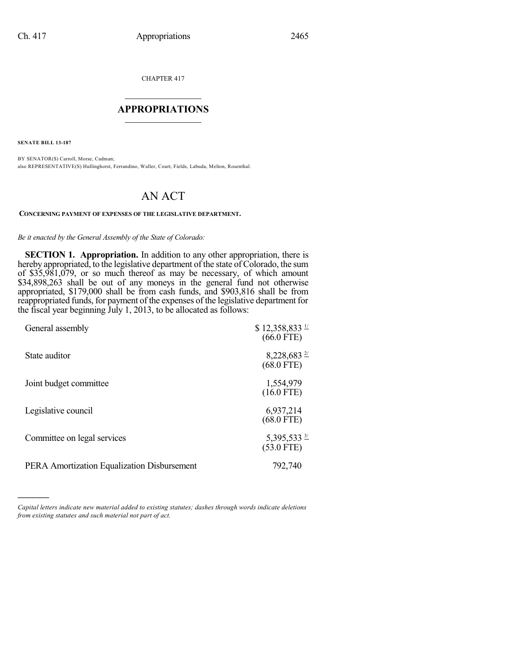CHAPTER 417

## $\mathcal{L}_\text{max}$  . The set of the set of the set of the set of the set of the set of the set of the set of the set of the set of the set of the set of the set of the set of the set of the set of the set of the set of the set **APPROPRIATIONS**  $\_$   $\_$   $\_$   $\_$   $\_$   $\_$   $\_$   $\_$

**SENATE BILL 13-187**

)))))

BY SENATOR(S) Carroll, Morse, Cadman; also REPRESENTATIVE(S) Hullinghorst, Ferrandino, Waller, Court, Fields, Labuda, Melton, Rosenthal.

## AN ACT

## **CONCERNING PAYMENT OF EXPENSES OF THE LEGISLATIVE DEPARTMENT.**

## *Be it enacted by the General Assembly of the State of Colorado:*

**SECTION 1. Appropriation.** In addition to any other appropriation, there is hereby appropriated, to the legislative department of the state of Colorado, the sum of \$35,981,079, or so much thereof as may be necessary, of which amount \$34,898,263 shall be out of any moneys in the general fund not otherwise appropriated, \$179,000 shall be from cash funds, and \$903,816 shall be from reappropriated funds, for payment of the expenses of the legislative department for the fiscal year beginning July 1, 2013, to be allocated as follows:

| General assembly                            | $$12,358,833 \frac{1}{2}$<br>$(66.0$ FTE) |
|---------------------------------------------|-------------------------------------------|
| State auditor                               | $8,228,683 \frac{27}{2}$<br>$(68.0$ FTE)  |
| Joint budget committee                      | 1,554,979<br>$(16.0$ FTE)                 |
| Legislative council                         | 6,937,214<br>$(68.0$ FTE)                 |
| Committee on legal services                 | 5,395,533 $\frac{3}{2}$<br>$(53.0$ FTE)   |
| PERA Amortization Equalization Disbursement | 792,740                                   |

*Capital letters indicate new material added to existing statutes; dashes through words indicate deletions from existing statutes and such material not part of act.*